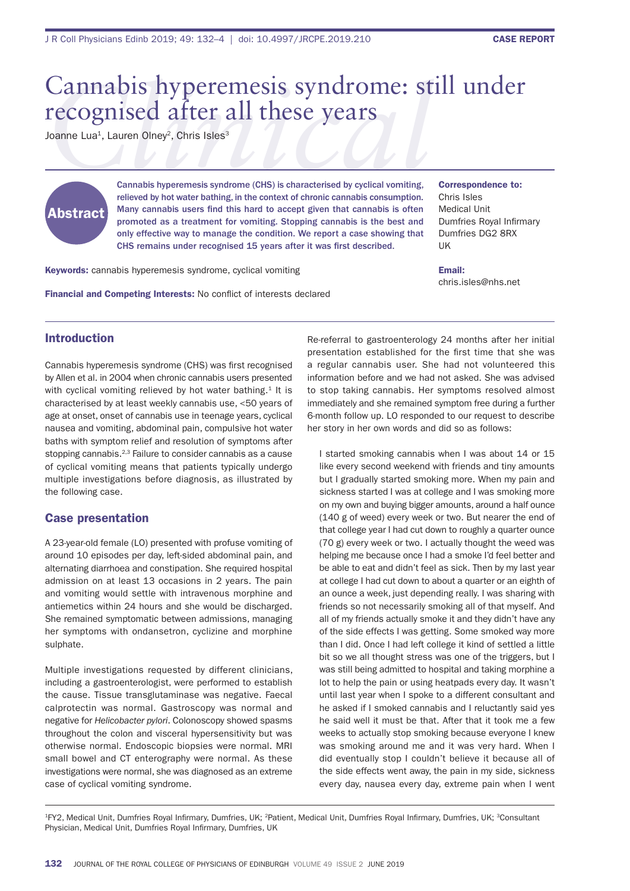# *Cannabis hyperemesis syndrome: still under*<br> *Cognised after all these years*<br>
<br> *Cannabis hyperemesis syndrome* (CHS) is characterised by cyclical vomiting, **Correspondence to:** recognised after all these years

Joanne Lua<sup>1</sup>, Lauren Olney<sup>2</sup>, Chris Isles<sup>3</sup>



Cannabis hyperemesis syndrome (CHS) is characterised by cyclical vomiting, relieved by hot water bathing, in the context of chronic cannabis consumption. Many cannabis users find this hard to accept given that cannabis is often promoted as a treatment for vomiting. Stopping cannabis is the best and only effective way to manage the condition. We report a case showing that CHS remains under recognised 15 years after it was first described.

Keywords: cannabis hyperemesis syndrome, cyclical vomiting

Financial and Competing Interests: No conflict of interests declared

Correspondence to:

Chris Isles Medical Unit Dumfries Royal Infirmary Dumfries DG2 8RX UK

Email: chris.isles@nhs.net

# Introduction

Cannabis hyperemesis syndrome (CHS) was first recognised by Allen et al. in 2004 when chronic cannabis users presented with cyclical vomiting relieved by hot water bathing.<sup>1</sup> It is characterised by at least weekly cannabis use, <50 years of age at onset, onset of cannabis use in teenage years, cyclical nausea and vomiting, abdominal pain, compulsive hot water baths with symptom relief and resolution of symptoms after stopping cannabis.<sup>2,3</sup> Failure to consider cannabis as a cause of cyclical vomiting means that patients typically undergo multiple investigations before diagnosis, as illustrated by the following case.

# Case presentation

A 23-year-old female (LO) presented with profuse vomiting of around 10 episodes per day, left-sided abdominal pain, and alternating diarrhoea and constipation. She required hospital admission on at least 13 occasions in 2 years. The pain and vomiting would settle with intravenous morphine and antiemetics within 24 hours and she would be discharged. She remained symptomatic between admissions, managing her symptoms with ondansetron, cyclizine and morphine sulphate.

Multiple investigations requested by different clinicians, including a gastroenterologist, were performed to establish the cause. Tissue transglutaminase was negative. Faecal calprotectin was normal. Gastroscopy was normal and negative for *Helicobacter pylori*. Colonoscopy showed spasms throughout the colon and visceral hypersensitivity but was otherwise normal. Endoscopic biopsies were normal. MRI small bowel and CT enterography were normal. As these investigations were normal, she was diagnosed as an extreme case of cyclical vomiting syndrome.

Re-referral to gastroenterology 24 months after her initial presentation established for the first time that she was a regular cannabis user. She had not volunteered this information before and we had not asked. She was advised to stop taking cannabis. Her symptoms resolved almost immediately and she remained symptom free during a further 6-month follow up. LO responded to our request to describe her story in her own words and did so as follows:

I started smoking cannabis when I was about 14 or 15 like every second weekend with friends and tiny amounts but I gradually started smoking more. When my pain and sickness started I was at college and I was smoking more on my own and buying bigger amounts, around a half ounce (140 g of weed) every week or two. But nearer the end of that college year I had cut down to roughly a quarter ounce (70 g) every week or two. I actually thought the weed was helping me because once I had a smoke I'd feel better and be able to eat and didn't feel as sick. Then by my last year at college I had cut down to about a quarter or an eighth of an ounce a week, just depending really. I was sharing with friends so not necessarily smoking all of that myself. And all of my friends actually smoke it and they didn't have any of the side effects I was getting. Some smoked way more than I did. Once I had left college it kind of settled a little bit so we all thought stress was one of the triggers, but I was still being admitted to hospital and taking morphine a lot to help the pain or using heatpads every day. It wasn't until last year when I spoke to a different consultant and he asked if I smoked cannabis and I reluctantly said yes he said well it must be that. After that it took me a few weeks to actually stop smoking because everyone I knew was smoking around me and it was very hard. When I did eventually stop I couldn't believe it because all of the side effects went away, the pain in my side, sickness every day, nausea every day, extreme pain when I went

<sup>1</sup>FY2, Medical Unit, Dumfries Royal Infirmary, Dumfries, UK; <sup>2</sup>Patient, Medical Unit, Dumfries Royal Infirmary, Dumfries, UK; <sup>3</sup>Consultant Physician, Medical Unit, Dumfries Royal Infirmary, Dumfries, UK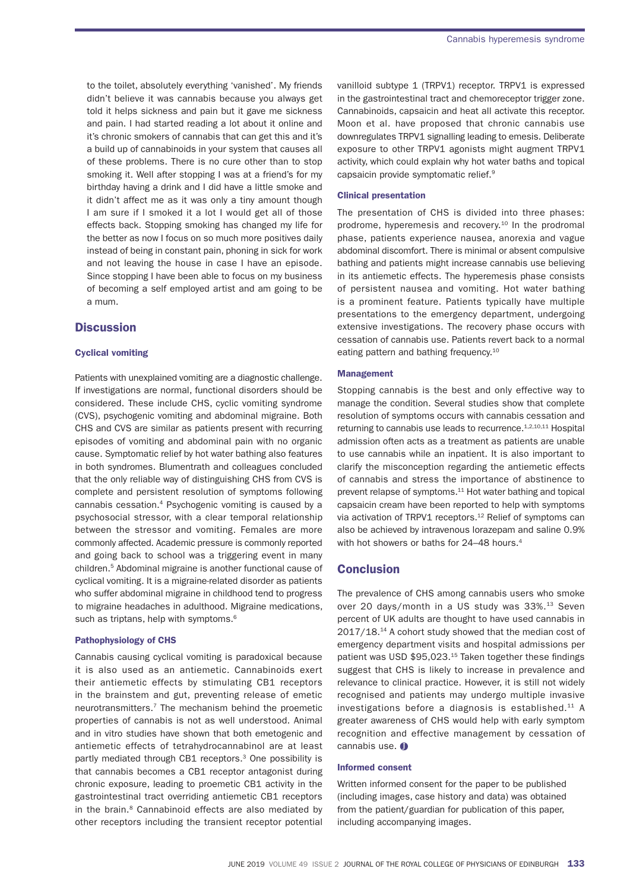to the toilet, absolutely everything 'vanished'. My friends didn't believe it was cannabis because you always get told it helps sickness and pain but it gave me sickness and pain. I had started reading a lot about it online and it's chronic smokers of cannabis that can get this and it's a build up of cannabinoids in your system that causes all of these problems. There is no cure other than to stop smoking it. Well after stopping I was at a friend's for my birthday having a drink and I did have a little smoke and it didn't affect me as it was only a tiny amount though I am sure if I smoked it a lot I would get all of those effects back. Stopping smoking has changed my life for the better as now I focus on so much more positives daily instead of being in constant pain, phoning in sick for work and not leaving the house in case I have an episode. Since stopping I have been able to focus on my business of becoming a self employed artist and am going to be a mum.

## **Discussion**

### Cyclical vomiting

Patients with unexplained vomiting are a diagnostic challenge. If investigations are normal, functional disorders should be considered. These include CHS, cyclic vomiting syndrome (CVS), psychogenic vomiting and abdominal migraine. Both CHS and CVS are similar as patients present with recurring episodes of vomiting and abdominal pain with no organic cause. Symptomatic relief by hot water bathing also features in both syndromes. Blumentrath and colleagues concluded that the only reliable way of distinguishing CHS from CVS is complete and persistent resolution of symptoms following cannabis cessation.4 Psychogenic vomiting is caused by a psychosocial stressor, with a clear temporal relationship between the stressor and vomiting. Females are more commonly affected. Academic pressure is commonly reported and going back to school was a triggering event in many children.5 Abdominal migraine is another functional cause of cyclical vomiting. It is a migraine-related disorder as patients who suffer abdominal migraine in childhood tend to progress to migraine headaches in adulthood. Migraine medications, such as triptans, help with symptoms.<sup>6</sup>

### Pathophysiology of CHS

Cannabis causing cyclical vomiting is paradoxical because it is also used as an antiemetic. Cannabinoids exert their antiemetic effects by stimulating CB1 receptors in the brainstem and gut, preventing release of emetic neurotransmitters.7 The mechanism behind the proemetic properties of cannabis is not as well understood. Animal and in vitro studies have shown that both emetogenic and antiemetic effects of tetrahydrocannabinol are at least partly mediated through CB1 receptors.3 One possibility is that cannabis becomes a CB1 receptor antagonist during chronic exposure, leading to proemetic CB1 activity in the gastrointestinal tract overriding antiemetic CB1 receptors in the brain.<sup>8</sup> Cannabinoid effects are also mediated by other receptors including the transient receptor potential

vanilloid subtype 1 (TRPV1) receptor. TRPV1 is expressed in the gastrointestinal tract and chemoreceptor trigger zone. Cannabinoids, capsaicin and heat all activate this receptor. Moon et al. have proposed that chronic cannabis use downregulates TRPV1 signalling leading to emesis. Deliberate exposure to other TRPV1 agonists might augment TRPV1 activity, which could explain why hot water baths and topical capsaicin provide symptomatic relief.9

### Clinical presentation

The presentation of CHS is divided into three phases: prodrome, hyperemesis and recovery.<sup>10</sup> In the prodromal phase, patients experience nausea, anorexia and vague abdominal discomfort. There is minimal or absent compulsive bathing and patients might increase cannabis use believing in its antiemetic effects. The hyperemesis phase consists of persistent nausea and vomiting. Hot water bathing is a prominent feature. Patients typically have multiple presentations to the emergency department, undergoing extensive investigations. The recovery phase occurs with cessation of cannabis use. Patients revert back to a normal eating pattern and bathing frequency.10

### Management

Stopping cannabis is the best and only effective way to manage the condition. Several studies show that complete resolution of symptoms occurs with cannabis cessation and returning to cannabis use leads to recurrence.<sup>1,2,10,11</sup> Hospital admission often acts as a treatment as patients are unable to use cannabis while an inpatient. It is also important to clarify the misconception regarding the antiemetic effects of cannabis and stress the importance of abstinence to prevent relapse of symptoms.<sup>11</sup> Hot water bathing and topical capsaicin cream have been reported to help with symptoms via activation of TRPV1 receptors.<sup>12</sup> Relief of symptoms can also be achieved by intravenous lorazepam and saline 0.9% with hot showers or baths for 24-48 hours.<sup>4</sup>

### Conclusion

The prevalence of CHS among cannabis users who smoke over 20 days/month in a US study was 33%.<sup>13</sup> Seven percent of UK adults are thought to have used cannabis in 2017/18.14 A cohort study showed that the median cost of emergency department visits and hospital admissions per patient was USD \$95,023.<sup>15</sup> Taken together these findings suggest that CHS is likely to increase in prevalence and relevance to clinical practice. However, it is still not widely recognised and patients may undergo multiple invasive investigations before a diagnosis is established. $11$  A greater awareness of CHS would help with early symptom recognition and effective management by cessation of cannabis use. <sup>0</sup>

### Informed consent

Written informed consent for the paper to be published (including images, case history and data) was obtained from the patient/guardian for publication of this paper, including accompanying images.